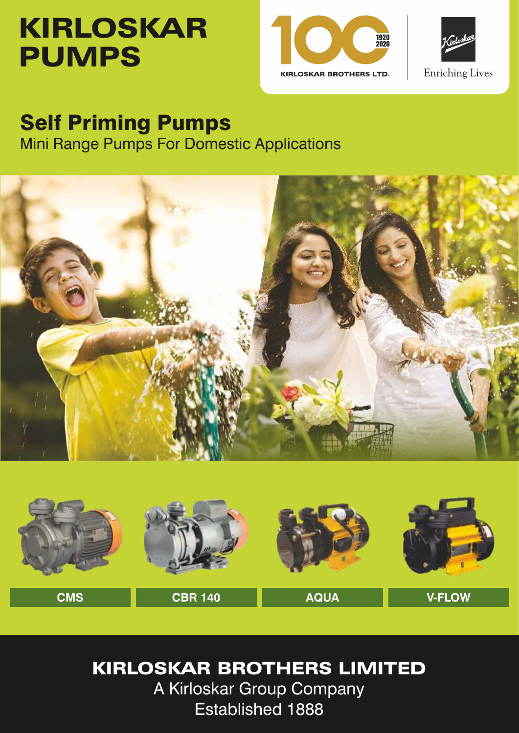# KIRLOSKAR PUMPS





## Self Priming Pumps

Mini Range Pumps For Domestic Applications





## KIRLOSKAR BROTHERS LIMITED

A Kirloskar Group Company Established 1888